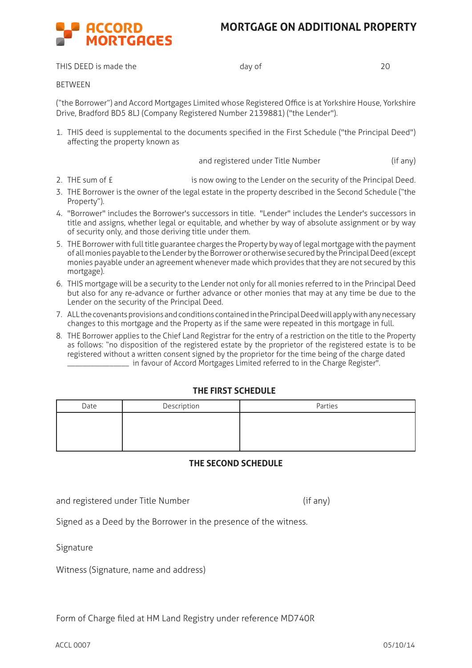## **MORTGAGE ON ADDITIONAL PROPERTY**



THIS DEED is made the day of day of 20

**BETWEEN** 

("the Borrower") and Accord Mortgages Limited whose Registered Office is at Yorkshire House, Yorkshire Drive, Bradford BD5 8LJ (Company Registered Number 2139881) ("the Lender").

1. THIS deed is supplemental to the documents specified in the First Schedule ("the Principal Deed") affecting the property known as

and registered under Title Number (if any)

- 2. THE sum of  $\epsilon$  is now owing to the Lender on the security of the Principal Deed.
- 3. THE Borrower is the owner of the legal estate in the property described in the Second Schedule ("the Property").
- 4. "Borrower" includes the Borrower's successors in title. "Lender" includes the Lender's successors in title and assigns, whether legal or equitable, and whether by way of absolute assignment or by way of security only, and those deriving title under them.
- 5. THE Borrower with full title guarantee charges the Property by way of legal mortgage with the payment of all monies payable to the Lender by the Borrower or otherwise secured by the Principal Deed (except monies payable under an agreement whenever made which provides that they are not secured by this mortgage).
- 6. THIS mortgage will be a security to the Lender not only for all monies referred to in the Principal Deed but also for any re-advance or further advance or other monies that may at any time be due to the Lender on the security of the Principal Deed.
- 7. ALL the covenants provisions and conditions contained in the Principal Deed will apply with any necessary changes to this mortgage and the Property as if the same were repeated in this mortgage in full.
- 8. THE Borrower applies to the Chief Land Registrar for the entry of a restriction on the title to the Property as follows: "no disposition of the registered estate by the proprietor of the registered estate is to be registered without a written consent signed by the proprietor for the time being of the charge dated \_\_\_\_\_\_\_\_\_\_\_\_\_\_\_\_ in favour of Accord Mortgages Limited referred to in the Charge Register".

## **THE FIRST SCHEDULE**

| Date | Description | Parties |
|------|-------------|---------|
|      |             |         |
|      |             |         |
|      |             |         |

## **THE SECOND SCHEDULE**

and registered under Title Number (if any)

Signed as a Deed by the Borrower in the presence of the witness.

Signature

Witness (Signature, name and address)

Form of Charge filed at HM Land Registry under reference MD740R